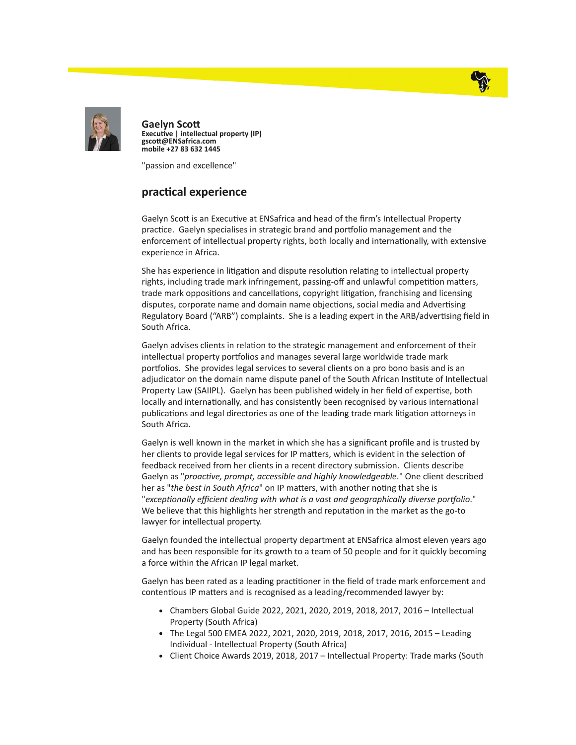



Gaelyn Sco Executive | intellectual property (IP) gscott@ENSafrica.com mobile +27 83 632 1445

"passion and excellence"

## practical experience

Gaelyn Scott is an Executive at ENSafrica and head of the firm's Intellectual Property practice. Gaelyn specialises in strategic brand and portfolio management and the enforcement of intellectual property rights, both locally and internationally, with extensive experience in Africa.

She has experience in litigation and dispute resolution relating to intellectual property rights, including trade mark infringement, passing-off and unlawful competition matters, trade mark oppositions and cancellations, copyright litigation, franchising and licensing disputes, corporate name and domain name objections, social media and Advertising Regulatory Board ("ARB") complaints. She is a leading expert in the ARB/advertising field in South Africa.

Gaelyn advises clients in relation to the strategic management and enforcement of their intellectual property portfolios and manages several large worldwide trade mark portfolios. She provides legal services to several clients on a pro bono basis and is an adjudicator on the domain name dispute panel of the South African Instute of Intellectual Property Law (SAIIPL). Gaelyn has been published widely in her field of expertise, both locally and internationally, and has consistently been recognised by various international publications and legal directories as one of the leading trade mark litigation attorneys in South Africa.

Gaelyn is well known in the market in which she has a significant profile and is trusted by her clients to provide legal services for IP matters, which is evident in the selection of feedback received from her clients in a recent directory submission. Clients describe Gaelyn as "proactive, prompt, accessible and highly knowledgeable." One client described her as "the best in South Africa" on IP matters, with another noting that she is "exceptionally efficient dealing with what is a vast and geographically diverse portfolio." We believe that this highlights her strength and reputation in the market as the go-to lawyer for intellectual property.

Gaelyn founded the intellectual property department at ENSafrica almost eleven years ago and has been responsible for its growth to a team of 50 people and for it quickly becoming a force within the African IP legal market.

Gaelyn has been rated as a leading practitioner in the field of trade mark enforcement and contentious IP matters and is recognised as a leading/recommended lawyer by:

- Chambers Global Guide 2022, 2021, 2020, 2019, 2018, 2017, 2016 Intellectual Property (South Africa)
- The Legal 500 EMEA 2022, 2021, 2020, 2019, 2018, 2017, 2016, 2015 Leading Individual - Intellectual Property (South Africa)
- Client Choice Awards 2019, 2018, 2017 Intellectual Property: Trade marks (South